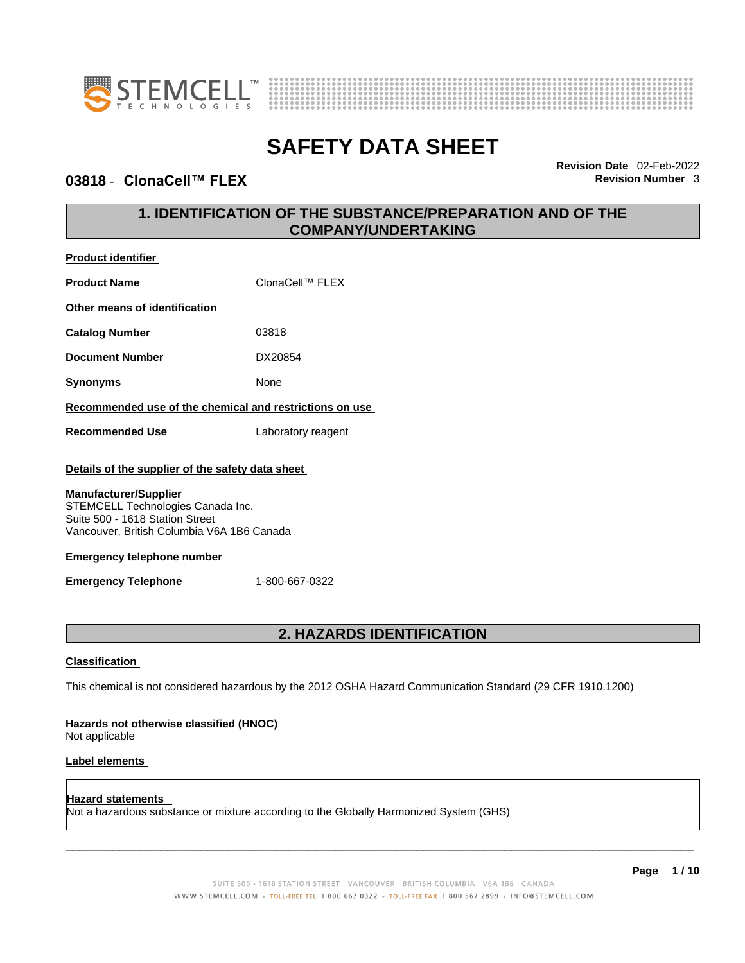



### **03818 ⋅ ClonaCell™ FLEX Revision Number 3**

**Product identifier**

**Revision Date** 02-Feb-2022

# **1. IDENTIFICATION OF THE SUBSTANCE/PREPARATION AND OF THE COMPANY/UNDERTAKING**

| <b>Product Name</b>                                                                                                                                                                                                                                                                         | ClonaCell™ FLEX    |  |
|---------------------------------------------------------------------------------------------------------------------------------------------------------------------------------------------------------------------------------------------------------------------------------------------|--------------------|--|
| Other means of identification                                                                                                                                                                                                                                                               |                    |  |
| <b>Catalog Number</b>                                                                                                                                                                                                                                                                       | 03818              |  |
| <b>Document Number</b>                                                                                                                                                                                                                                                                      | DX20854            |  |
| <b>Synonyms</b>                                                                                                                                                                                                                                                                             | None               |  |
| Recommended use of the chemical and restrictions on use                                                                                                                                                                                                                                     |                    |  |
| <b>Recommended Use</b>                                                                                                                                                                                                                                                                      | Laboratory reagent |  |
| Details of the supplier of the safety data sheet<br><b>Manufacturer/Supplier</b><br>STEMCELL Technologies Canada Inc.<br>Suite 500 - 1618 Station Street<br>Vancouver, British Columbia V6A 1B6 Canada<br><b>Emergency telephone number</b><br><b>Emergency Telephone</b><br>1-800-667-0322 |                    |  |
| <b>2. HAZARDS IDENTIFICATION</b>                                                                                                                                                                                                                                                            |                    |  |
| <b>Classification</b><br>This chemical is not considered hazardous by the 2012 OSHA Hazard Communication Standard (29 CFR 1910.1200)                                                                                                                                                        |                    |  |
| Hazards not otherwise classified (HNOC)                                                                                                                                                                                                                                                     |                    |  |

Not applicable

#### **Label elements**

**Hazard statements**  Not a hazardous substance or mixture according to the Globally Harmonized System (GHS)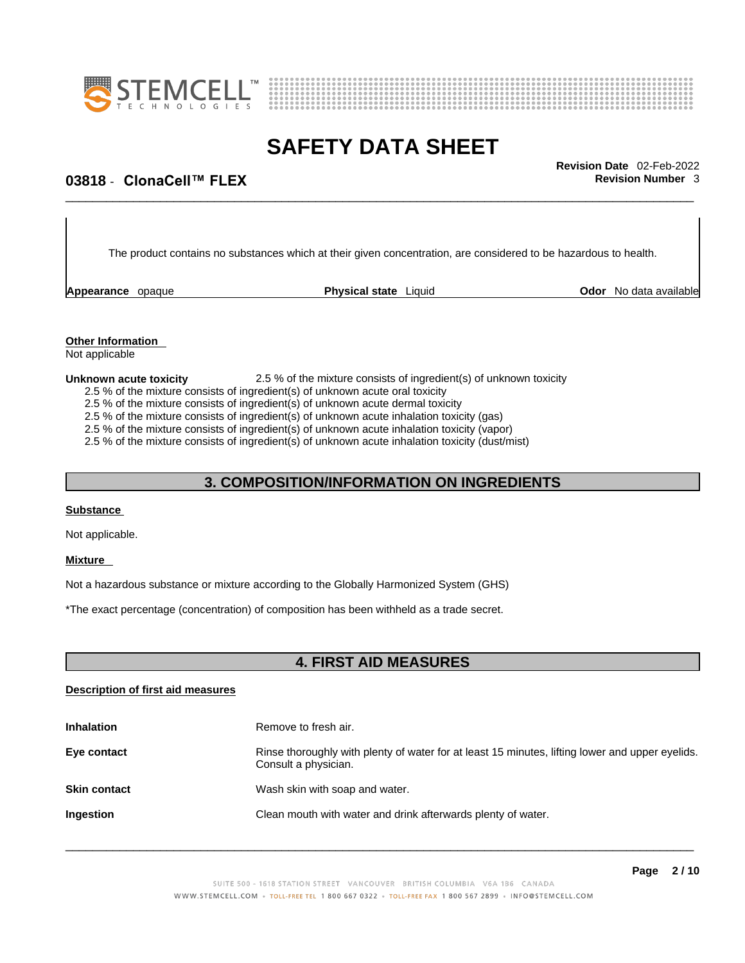



\_\_\_\_\_\_\_\_\_\_\_\_\_\_\_\_\_\_\_\_\_\_\_\_\_\_\_\_\_\_\_\_\_\_\_\_\_\_\_\_\_\_\_\_\_\_\_\_\_\_\_\_\_\_\_\_\_\_\_\_\_\_\_\_\_\_\_\_\_\_\_\_\_\_\_\_\_\_\_\_\_\_\_\_\_\_\_\_\_\_\_\_\_ **Revision Date** 02-Feb-2022

# **03818 ⋅ ClonaCell™ FLEX Revision Number 3**

The product contains no substances which at their given concentration, are considered to be hazardous to health.

**Appearance** opaque **Physical state** Liquid

**Odor** No data available

**Other Information**  Not applicable

#### **Unknown acute toxicity** 2.5 % of the mixture consists of ingredient(s) of unknown toxicity

2.5 % of the mixture consists of ingredient(s) of unknown acute oral toxicity

2.5 % of the mixture consists of ingredient(s) of unknown acute dermal toxicity

2.5 % of the mixture consists of ingredient(s) of unknown acute inhalation toxicity (gas)

2.5 % of the mixture consists of ingredient(s) of unknown acute inhalation toxicity (vapor)

2.5 % of the mixture consists of ingredient(s) of unknown acute inhalation toxicity (dust/mist)

### **3. COMPOSITION/INFORMATION ON INGREDIENTS**

#### **Substance**

Not applicable.

#### **Mixture**

Not a hazardous substance or mixture according to the Globally Harmonized System (GHS)

\*The exact percentage (concentration) of composition has been withheld as a trade secret.

### **4. FIRST AID MEASURES**

#### **Description of first aid measures**

| <b>Inhalation</b>   | Remove to fresh air.                                                                                                    |
|---------------------|-------------------------------------------------------------------------------------------------------------------------|
| Eye contact         | Rinse thoroughly with plenty of water for at least 15 minutes, lifting lower and upper eyelids.<br>Consult a physician. |
| <b>Skin contact</b> | Wash skin with soap and water.                                                                                          |
| Ingestion           | Clean mouth with water and drink afterwards plenty of water.                                                            |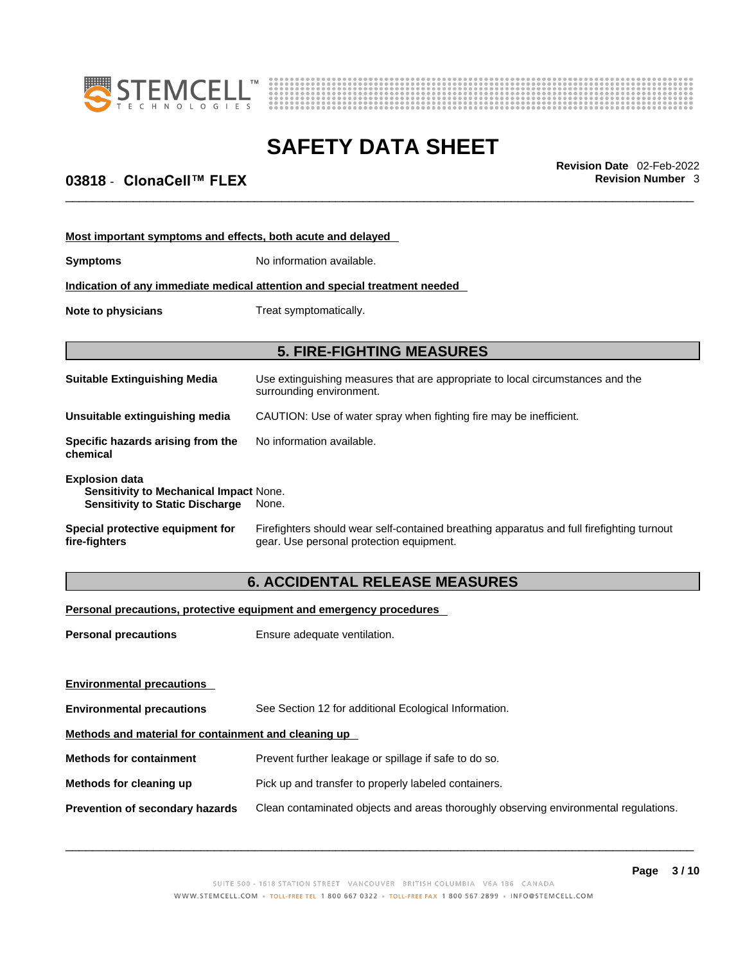



\_\_\_\_\_\_\_\_\_\_\_\_\_\_\_\_\_\_\_\_\_\_\_\_\_\_\_\_\_\_\_\_\_\_\_\_\_\_\_\_\_\_\_\_\_\_\_\_\_\_\_\_\_\_\_\_\_\_\_\_\_\_\_\_\_\_\_\_\_\_\_\_\_\_\_\_\_\_\_\_\_\_\_\_\_\_\_\_\_\_\_\_\_ **Revision Date** 02-Feb-2022

# **03818 ⋅ ClonaCell™ FLEX Revision Number 3**

| Most important symptoms and effects, both acute and delayed                                                      |                                                                                                                                       |  |  |
|------------------------------------------------------------------------------------------------------------------|---------------------------------------------------------------------------------------------------------------------------------------|--|--|
| <b>Symptoms</b>                                                                                                  | No information available.                                                                                                             |  |  |
|                                                                                                                  | Indication of any immediate medical attention and special treatment needed                                                            |  |  |
| Note to physicians<br>Treat symptomatically.                                                                     |                                                                                                                                       |  |  |
|                                                                                                                  | <b>5. FIRE-FIGHTING MEASURES</b>                                                                                                      |  |  |
| <b>Suitable Extinguishing Media</b>                                                                              | Use extinguishing measures that are appropriate to local circumstances and the<br>surrounding environment.                            |  |  |
| Unsuitable extinguishing media                                                                                   | CAUTION: Use of water spray when fighting fire may be inefficient.                                                                    |  |  |
| Specific hazards arising from the<br>chemical                                                                    | No information available.                                                                                                             |  |  |
| <b>Explosion data</b><br><b>Sensitivity to Mechanical Impact None.</b><br><b>Sensitivity to Static Discharge</b> | None.                                                                                                                                 |  |  |
| Special protective equipment for<br>fire-fighters                                                                | Firefighters should wear self-contained breathing apparatus and full firefighting turnout<br>gear. Use personal protection equipment. |  |  |
|                                                                                                                  |                                                                                                                                       |  |  |

# **6. ACCIDENTAL RELEASE MEASURES**

#### **Personal precautions, protective equipment and emergency procedures**

| <b>Personal precautions</b>                          | Ensure adequate ventilation.                                                         |  |
|------------------------------------------------------|--------------------------------------------------------------------------------------|--|
|                                                      |                                                                                      |  |
|                                                      |                                                                                      |  |
| <b>Environmental precautions</b>                     | See Section 12 for additional Ecological Information.                                |  |
| Methods and material for containment and cleaning up |                                                                                      |  |
| <b>Methods for containment</b>                       | Prevent further leakage or spillage if safe to do so.                                |  |
| Methods for cleaning up                              | Pick up and transfer to properly labeled containers.                                 |  |
| Prevention of secondary hazards                      | Clean contaminated objects and areas thoroughly observing environmental regulations. |  |
| <b>Environmental precautions</b>                     |                                                                                      |  |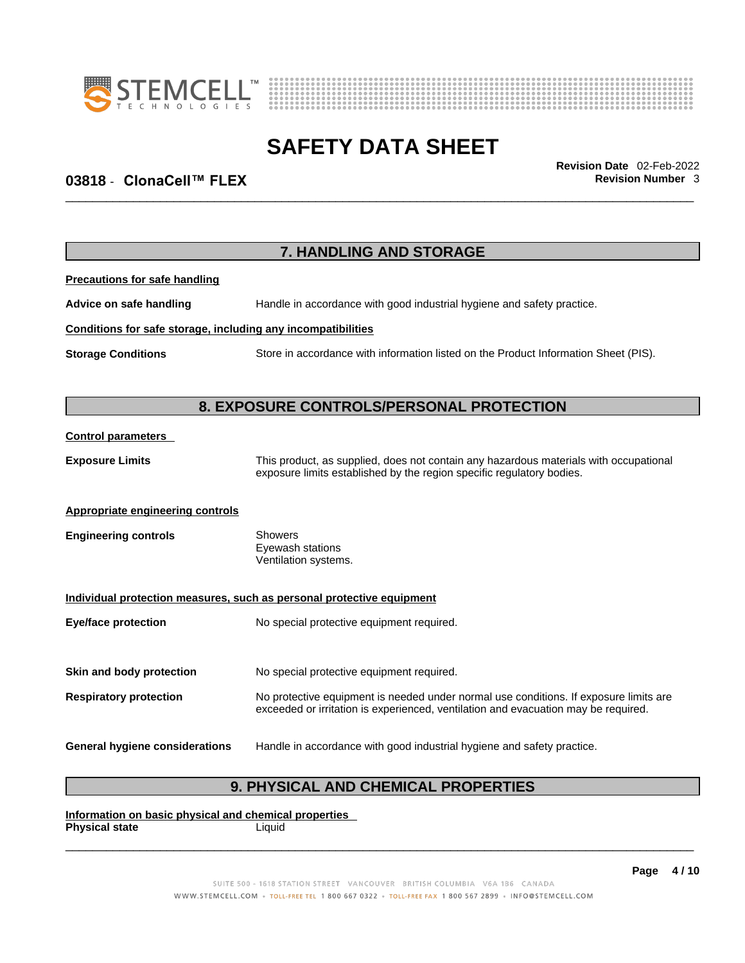



\_\_\_\_\_\_\_\_\_\_\_\_\_\_\_\_\_\_\_\_\_\_\_\_\_\_\_\_\_\_\_\_\_\_\_\_\_\_\_\_\_\_\_\_\_\_\_\_\_\_\_\_\_\_\_\_\_\_\_\_\_\_\_\_\_\_\_\_\_\_\_\_\_\_\_\_\_\_\_\_\_\_\_\_\_\_\_\_\_\_\_\_\_ **Revision Date** 02-Feb-2022

# **03818** - **ClonaCell™ FLEX Revision Number** 3

|                                                              | 7. HANDLING AND STORAGE                                                                                                                                                     |
|--------------------------------------------------------------|-----------------------------------------------------------------------------------------------------------------------------------------------------------------------------|
| <b>Precautions for safe handling</b>                         |                                                                                                                                                                             |
| Advice on safe handling                                      | Handle in accordance with good industrial hygiene and safety practice.                                                                                                      |
| Conditions for safe storage, including any incompatibilities |                                                                                                                                                                             |
| <b>Storage Conditions</b>                                    | Store in accordance with information listed on the Product Information Sheet (PIS).                                                                                         |
|                                                              | 8. EXPOSURE CONTROLS/PERSONAL PROTECTION                                                                                                                                    |
| <b>Control parameters</b>                                    |                                                                                                                                                                             |
| <b>Exposure Limits</b>                                       | This product, as supplied, does not contain any hazardous materials with occupational<br>exposure limits established by the region specific regulatory bodies.              |
| <b>Appropriate engineering controls</b>                      |                                                                                                                                                                             |
| <b>Engineering controls</b>                                  | <b>Showers</b><br>Eyewash stations<br>Ventilation systems.                                                                                                                  |
|                                                              | Individual protection measures, such as personal protective equipment                                                                                                       |
| <b>Eye/face protection</b>                                   | No special protective equipment required.                                                                                                                                   |
| Skin and body protection                                     | No special protective equipment required.                                                                                                                                   |
| <b>Respiratory protection</b>                                | No protective equipment is needed under normal use conditions. If exposure limits are<br>exceeded or irritation is experienced, ventilation and evacuation may be required. |
|                                                              | Handle in accordance with good industrial hygiene and safety practice.                                                                                                      |

# **9. PHYSICAL AND CHEMICAL PROPERTIES**

**Information on basic physical and chemical properties Physical state** Liquid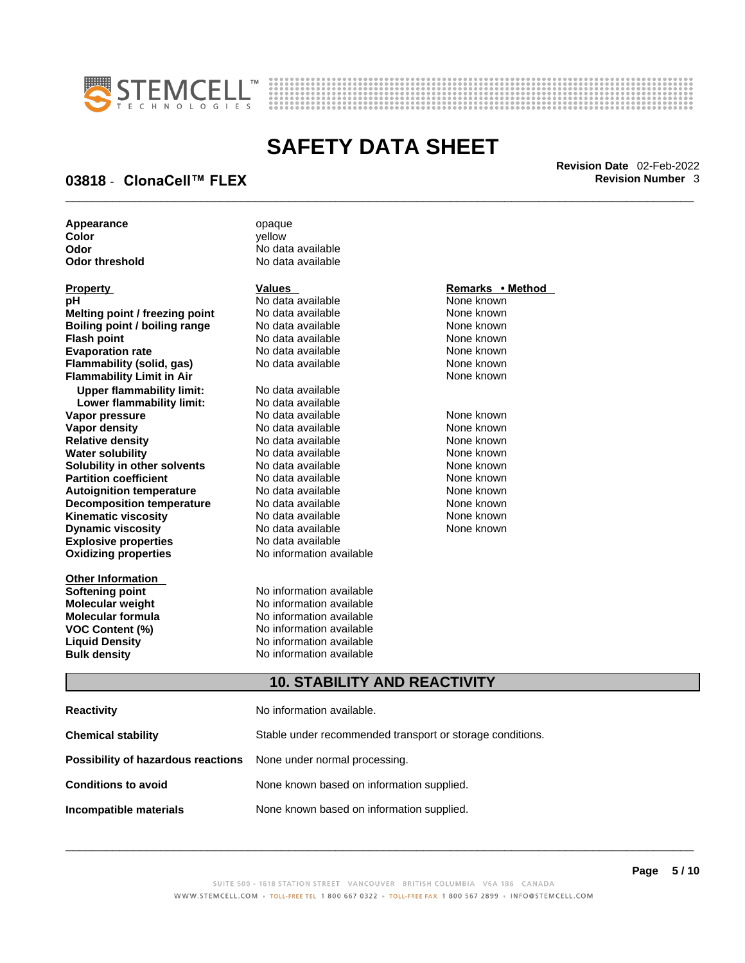



\_\_\_\_\_\_\_\_\_\_\_\_\_\_\_\_\_\_\_\_\_\_\_\_\_\_\_\_\_\_\_\_\_\_\_\_\_\_\_\_\_\_\_\_\_\_\_\_\_\_\_\_\_\_\_\_\_\_\_\_\_\_\_\_\_\_\_\_\_\_\_\_\_\_\_\_\_\_\_\_\_\_\_\_\_\_\_\_\_\_\_\_\_ **Revision Date** 02-Feb-2022

### **03818 ⋅ ClonaCell™ FLEX Revision Number 3**

**Appearance** opaque **Color** yellow

| Property                             |
|--------------------------------------|
| рH                                   |
| Melting point / freezing point       |
| <b>Boiling point / boiling range</b> |
| <b>Flash point</b>                   |
| <b>Evaporation rate</b>              |
| <b>Flammability (solid, gas)</b>     |
| <b>Flammability Limit in Air</b>     |
| <b>Upper flammability limit:</b>     |
| Lower flammability limit:            |
| Vapor pressure                       |
| <b>Vapor density</b>                 |
| <b>Relative density</b>              |
| <b>Water solubility</b>              |
| Solubility in other solvents         |
| <b>Partition coefficient</b>         |
| <b>Autoignition temperature</b>      |
| <b>Decomposition temperature</b>     |
| Kinematic viscosity                  |
| <b>Dynamic viscosity</b>             |
| <b>Explosive properties</b>          |
| <b>Oxidizing properties</b>          |
|                                      |

**Other Information** 

**Odor** No data available **No data available** 

**PH ANO data available None known**<br>
No data available None known **No data available Roidata available 1999 Mone known**<br> **Boiling** None known<br> **Roidata available None known Flash No data available None known**<br> **Flash No data available None known**<br> **Plash None known Evaporation Revaluable** Mone known<br> **Evaporation** No data available None known **No data available** 

**Explosive properties** No data available **Oxidizing properties** No information available **No data available Lower flammability limit:** No data available **Vapora Available None known**<br> **Pressure No data available None known**<br>
None known **Vapor density in the Solution Cone and None known**<br> **No data available None known No data available No data available None known Solution Islam in Solution None known** None known **Partition Partition Coefficient Coefficient Coefficient Coefficient Coefficient Coefficient Coefficient Coefficient Coefficient Coefficient Coefficient Coefficient Coefficient Coefficient C Automische Munder None known**<br> **Automische None known**<br>
None known **No data available** No data available **None known** No data available **None known** 

**Softening point**<br> **Molecular weight**<br> **Molecular weight**<br> **Molecular weight**<br> **Molecular weight No information available Molecular formula** No information available **VOC Content (%)**<br>
Liquid Density<br>
No information available<br>
No information available **No information available Bulk density No information available** 

#### **Property Values Remarks • Method**

**Flammability Limit in Air** None known

### **10. STABILITY AND REACTIVITY**

| <b>Reactivity</b>                                                               | No information available.                 |  |
|---------------------------------------------------------------------------------|-------------------------------------------|--|
| Stable under recommended transport or storage conditions.<br>Chemical stability |                                           |  |
| <b>Possibility of hazardous reactions</b> None under normal processing.         |                                           |  |
| <b>Conditions to avoid</b>                                                      | None known based on information supplied. |  |
| Incompatible materials                                                          | None known based on information supplied. |  |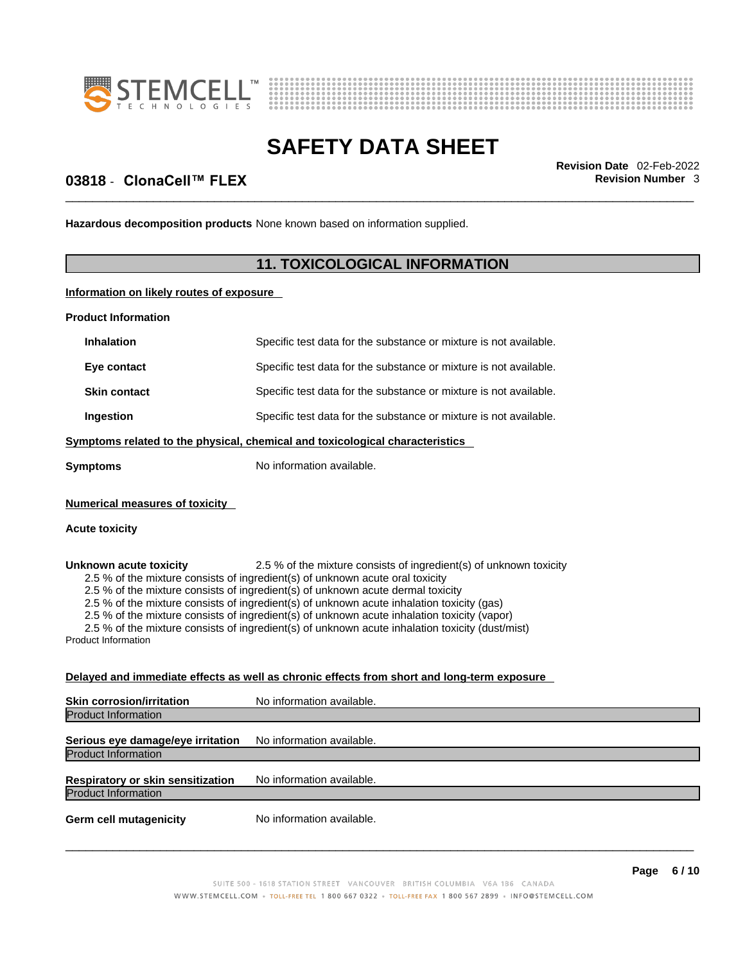



\_\_\_\_\_\_\_\_\_\_\_\_\_\_\_\_\_\_\_\_\_\_\_\_\_\_\_\_\_\_\_\_\_\_\_\_\_\_\_\_\_\_\_\_\_\_\_\_\_\_\_\_\_\_\_\_\_\_\_\_\_\_\_\_\_\_\_\_\_\_\_\_\_\_\_\_\_\_\_\_\_\_\_\_\_\_\_\_\_\_\_\_\_ **Revision Date** 02-Feb-2022

## **03818 ⋅ ClonaCell™ FLEX Revision Number 3**

**Hazardous decomposition products** None known based on information supplied.

### **11. TOXICOLOGICAL INFORMATION**

#### **Information on likely routes of exposure**

**Product Information**

| <b>Inhalation</b>                                                            | Specific test data for the substance or mixture is not available. |  |
|------------------------------------------------------------------------------|-------------------------------------------------------------------|--|
| Eye contact                                                                  | Specific test data for the substance or mixture is not available. |  |
| <b>Skin contact</b>                                                          | Specific test data for the substance or mixture is not available. |  |
| Ingestion                                                                    | Specific test data for the substance or mixture is not available. |  |
| Symptoms related to the physical, chemical and toxicological characteristics |                                                                   |  |
| Symptoms                                                                     | No information available.                                         |  |
| Numerical measures of toxicity<br>Acute toxicity                             |                                                                   |  |

**Unknown acute toxicity** 2.5 % of the mixture consists of ingredient(s) of unknown toxicity 2.5 % of the mixture consists of ingredient(s) of unknown acute oral toxicity

2.5 % of the mixture consists of ingredient(s) of unknown acute dermal toxicity

2.5 % of the mixture consists of ingredient(s) of unknown acute inhalation toxicity (gas)

2.5 % of the mixture consists of ingredient(s) of unknown acute inhalation toxicity (vapor)

2.5 % of the mixture consists of ingredient(s) of unknown acute inhalation toxicity (dust/mist)

Product Information

#### **Delayed and immediate effects as well as chronic effects from short and long-term exposure**

| <b>Skin corrosion/irritation</b>  | No information available. |  |
|-----------------------------------|---------------------------|--|
| Product Information               |                           |  |
|                                   |                           |  |
| Serious eye damage/eye irritation | No information available. |  |
| Product Information               |                           |  |
|                                   |                           |  |
| Respiratory or skin sensitization | No information available. |  |
| Product Information               |                           |  |
| <b>Germ cell mutagenicity</b>     | No information available. |  |
|                                   |                           |  |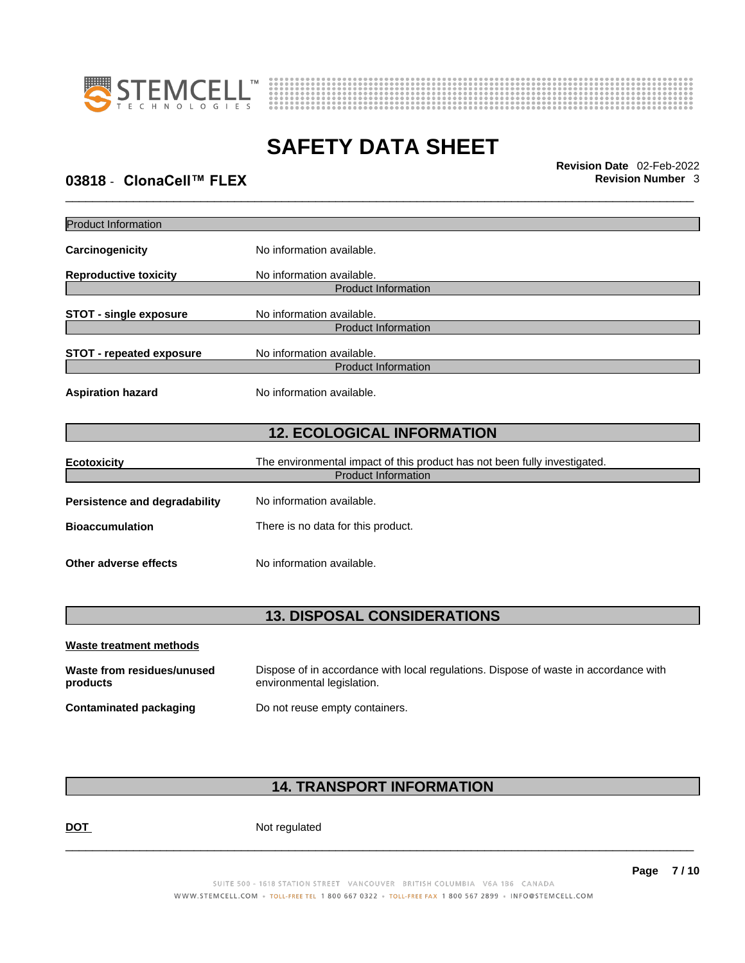



\_\_\_\_\_\_\_\_\_\_\_\_\_\_\_\_\_\_\_\_\_\_\_\_\_\_\_\_\_\_\_\_\_\_\_\_\_\_\_\_\_\_\_\_\_\_\_\_\_\_\_\_\_\_\_\_\_\_\_\_\_\_\_\_\_\_\_\_\_\_\_\_\_\_\_\_\_\_\_\_\_\_\_\_\_\_\_\_\_\_\_\_\_ **Revision Date** 02-Feb-2022

# **03818 ⋅ ClonaCell™ FLEX Revision Number 3**

| <b>Product Information</b>             |                                                                                                                    |
|----------------------------------------|--------------------------------------------------------------------------------------------------------------------|
| Carcinogenicity                        | No information available.                                                                                          |
| <b>Reproductive toxicity</b>           | No information available.<br><b>Product Information</b>                                                            |
|                                        |                                                                                                                    |
| <b>STOT - single exposure</b>          | No information available.                                                                                          |
|                                        | <b>Product Information</b>                                                                                         |
| <b>STOT - repeated exposure</b>        | No information available.                                                                                          |
|                                        | <b>Product Information</b>                                                                                         |
| <b>Aspiration hazard</b>               | No information available.                                                                                          |
|                                        | <b>12. ECOLOGICAL INFORMATION</b>                                                                                  |
| <b>Ecotoxicity</b>                     | The environmental impact of this product has not been fully investigated.                                          |
|                                        | <b>Product Information</b>                                                                                         |
| Persistence and degradability          | No information available.                                                                                          |
| <b>Bioaccumulation</b>                 | There is no data for this product.                                                                                 |
|                                        |                                                                                                                    |
| Other adverse effects                  | No information available.                                                                                          |
|                                        |                                                                                                                    |
|                                        | <b>13. DISPOSAL CONSIDERATIONS</b>                                                                                 |
| <b>Waste treatment methods</b>         |                                                                                                                    |
| Waste from residues/unused<br>products | Dispose of in accordance with local regulations. Dispose of waste in accordance with<br>environmental legislation. |
| <b>Contaminated packaging</b>          | Do not reuse empty containers.                                                                                     |

# **14. TRANSPORT INFORMATION**

DOT Not regulated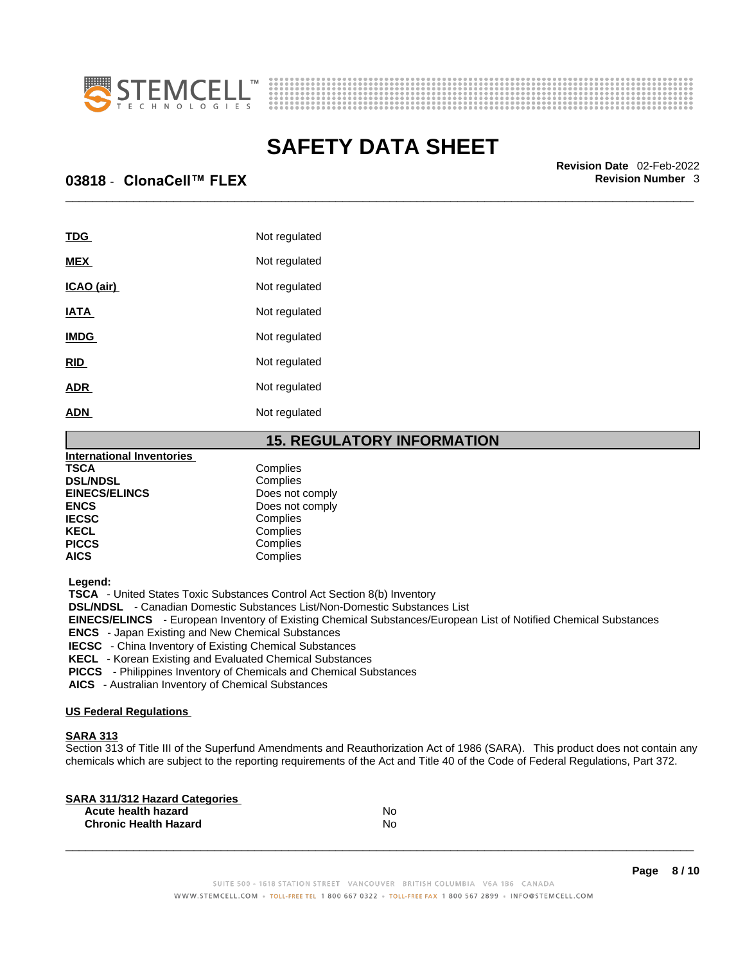



\_\_\_\_\_\_\_\_\_\_\_\_\_\_\_\_\_\_\_\_\_\_\_\_\_\_\_\_\_\_\_\_\_\_\_\_\_\_\_\_\_\_\_\_\_\_\_\_\_\_\_\_\_\_\_\_\_\_\_\_\_\_\_\_\_\_\_\_\_\_\_\_\_\_\_\_\_\_\_\_\_\_\_\_\_\_\_\_\_\_\_\_\_ **Revision Date** 02-Feb-2022

## **03818 ⋅ ClonaCell™ FLEX Revision Number 3**

| <b>TDG</b>  | Not regulated |
|-------------|---------------|
| <b>MEX</b>  | Not regulated |
| ICAO (air)  | Not regulated |
| <b>IATA</b> | Not regulated |
| <b>IMDG</b> | Not regulated |
| <b>RID</b>  | Not regulated |
| <b>ADR</b>  | Not regulated |
| ADN         | Not regulated |

### **15. REGULATORY INFORMATION**

| Complies<br>Complies<br>Does not comply<br>Does not comply<br>Complies<br>Complies<br>Complies<br>Complies | <b>International Inventories</b> |  |
|------------------------------------------------------------------------------------------------------------|----------------------------------|--|
|                                                                                                            | <b>TSCA</b>                      |  |
|                                                                                                            | <b>DSL/NDSL</b>                  |  |
|                                                                                                            | <b>EINECS/ELINCS</b>             |  |
|                                                                                                            | <b>ENCS</b>                      |  |
|                                                                                                            | <b>IECSC</b>                     |  |
|                                                                                                            | <b>KECL</b>                      |  |
|                                                                                                            | <b>PICCS</b>                     |  |
|                                                                                                            | <b>AICS</b>                      |  |

 **Legend:** 

 **TSCA** - United States Toxic Substances Control Act Section 8(b) Inventory

 **DSL/NDSL** - Canadian Domestic Substances List/Non-Domestic Substances List

 **EINECS/ELINCS** - European Inventory of Existing Chemical Substances/European List of Notified Chemical Substances

 **ENCS** - Japan Existing and New Chemical Substances

 **IECSC** - China Inventory of Existing Chemical Substances

 **KECL** - Korean Existing and Evaluated Chemical Substances

 **PICCS** - Philippines Inventory of Chemicals and Chemical Substances

 **AICS** - Australian Inventory of Chemical Substances

#### **US Federal Regulations**

#### **SARA 313**

Section 313 of Title III of the Superfund Amendments and Reauthorization Act of 1986 (SARA). This product does not contain any chemicals which are subject to the reporting requirements of the Act and Title 40 of the Code of Federal Regulations, Part 372.

| SARA 311/312 Hazard Categories |    |  |
|--------------------------------|----|--|
| Acute health hazard            | No |  |
| <b>Chronic Health Hazard</b>   | No |  |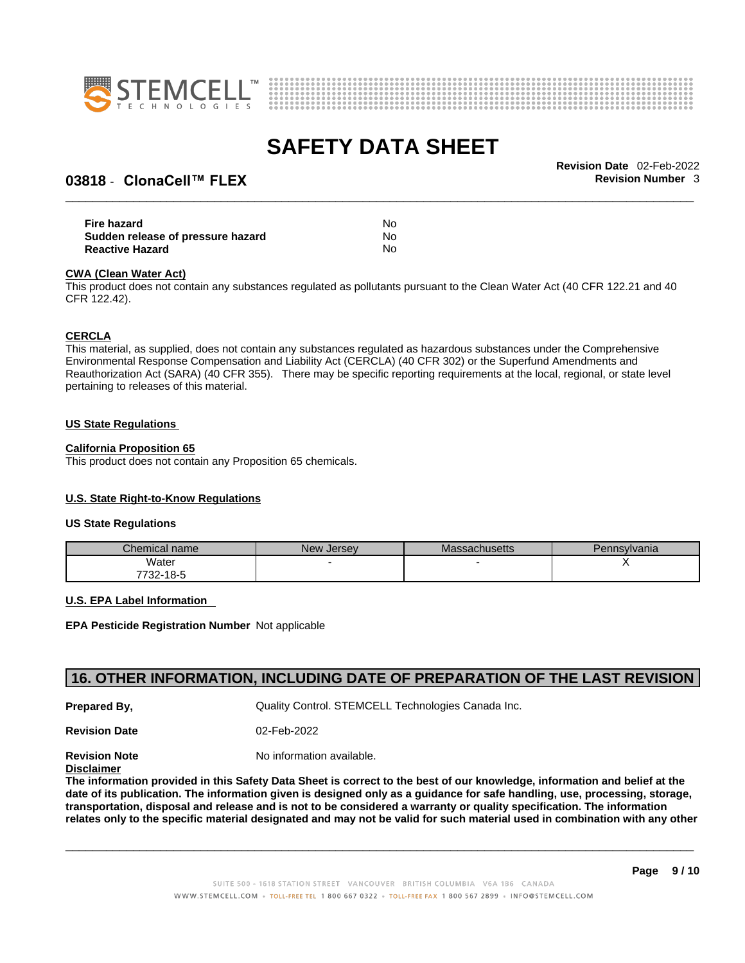



### **03818 ⋅ ClonaCell™ FLEX Revision Number 3**

\_\_\_\_\_\_\_\_\_\_\_\_\_\_\_\_\_\_\_\_\_\_\_\_\_\_\_\_\_\_\_\_\_\_\_\_\_\_\_\_\_\_\_\_\_\_\_\_\_\_\_\_\_\_\_\_\_\_\_\_\_\_\_\_\_\_\_\_\_\_\_\_\_\_\_\_\_\_\_\_\_\_\_\_\_\_\_\_\_\_\_\_\_ **Revision Date** 02-Feb-2022

| Fire hazard                       | No |  |
|-----------------------------------|----|--|
| Sudden release of pressure hazard | No |  |
| <b>Reactive Hazard</b>            | No |  |

#### **CWA** (Clean Water Act)

This product does not contain any substances regulated as pollutants pursuant to the Clean Water Act (40 CFR 122.21 and 40 CFR 122.42).

#### **CERCLA**

This material, as supplied, does not contain any substances regulated as hazardous substances under the Comprehensive Environmental Response Compensation and Liability Act (CERCLA) (40 CFR 302) or the Superfund Amendments and Reauthorization Act (SARA) (40 CFR 355). There may be specific reporting requirements at the local, regional, or state level pertaining to releases of this material.

#### **US State Regulations**

#### **California Proposition 65**

This product does not contain any Proposition 65 chemicals.

#### **U.S. State Right-to-Know Regulations**

#### **US State Regulations**

| Chemical name | New Jersey | Massachusetts | Pennsylvania |
|---------------|------------|---------------|--------------|
| Water         |            |               |              |
| 7732-18-5     |            |               |              |

#### **U.S. EPA Label Information**

**EPA Pesticide Registration Number** Not applicable

### **16. OTHER INFORMATION, INCLUDING DATE OF PREPARATION OF THE LAST REVISION**

**Prepared By, Cuality Control. STEMCELL Technologies Canada Inc.** 

**Revision Date** 02-Feb-2022

**Revision Note** Noinformation available.

**Disclaimer**

The information provided in this Safety Data Sheet is correct to the best of our knowledge, information and belief at the date of its publication. The information given is designed only as a guidance for safe handling, use, processing, storage, transportation, disposal and release and is not to be considered a warranty or quality specification. The information relates only to the specific material designated and may not be valid for such material used in combination with any other